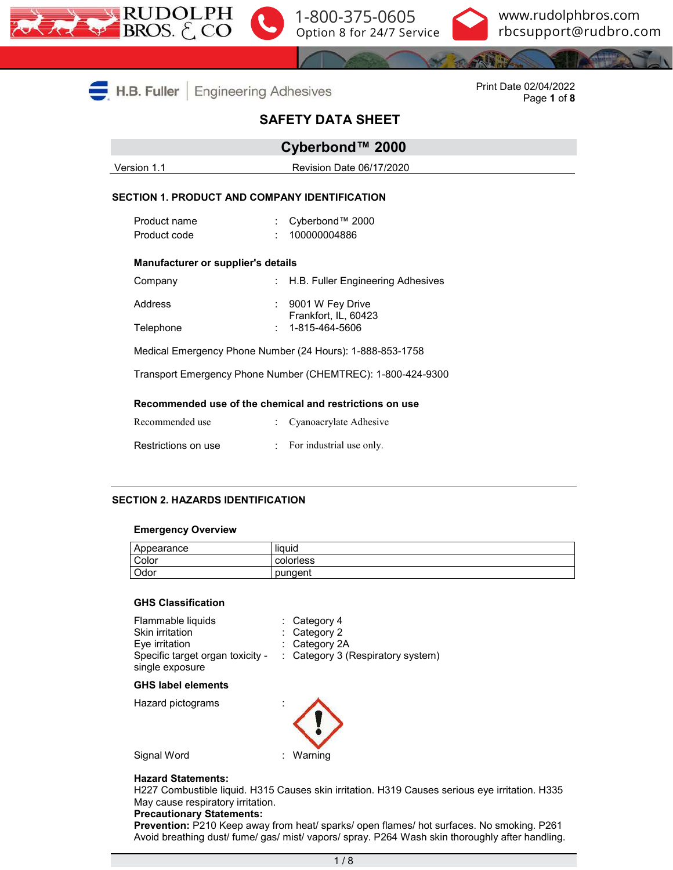





|                                                                                                                          | $H.B.$ Fuller<br><b>Engineering Adhesives</b>        | Print Date 02/04/2022<br>Page 1 of 8 |                                                         |  |  |  |  |
|--------------------------------------------------------------------------------------------------------------------------|------------------------------------------------------|--------------------------------------|---------------------------------------------------------|--|--|--|--|
|                                                                                                                          |                                                      |                                      |                                                         |  |  |  |  |
|                                                                                                                          |                                                      |                                      | Cyberbond™ 2000                                         |  |  |  |  |
|                                                                                                                          | Version 1.1                                          |                                      | Revision Date 06/17/2020                                |  |  |  |  |
|                                                                                                                          | <b>SECTION 1. PRODUCT AND COMPANY IDENTIFICATION</b> |                                      |                                                         |  |  |  |  |
|                                                                                                                          | Product name                                         |                                      | Cyberbond™ 2000                                         |  |  |  |  |
|                                                                                                                          | Product code                                         |                                      | 100000004886                                            |  |  |  |  |
|                                                                                                                          | Manufacturer or supplier's details                   |                                      |                                                         |  |  |  |  |
|                                                                                                                          | Company                                              |                                      | : H.B. Fuller Engineering Adhesives                     |  |  |  |  |
|                                                                                                                          | Address                                              |                                      | : 9001 W Fey Drive<br>Frankfort, IL, 60423              |  |  |  |  |
|                                                                                                                          | Telephone                                            |                                      | 1-815-464-5606                                          |  |  |  |  |
| Medical Emergency Phone Number (24 Hours): 1-888-853-1758<br>Transport Emergency Phone Number (CHEMTREC): 1-800-424-9300 |                                                      |                                      |                                                         |  |  |  |  |
|                                                                                                                          |                                                      |                                      |                                                         |  |  |  |  |
|                                                                                                                          |                                                      |                                      | Recommended use of the chemical and restrictions on use |  |  |  |  |
|                                                                                                                          | Recommended use                                      |                                      | Cyanoacrylate Adhesive                                  |  |  |  |  |
|                                                                                                                          | Restrictions on use                                  |                                      | For industrial use only.                                |  |  |  |  |

#### **SECTION 2. HAZARDS IDENTIFICATION**

#### **Emergency Overview**

| Appearance | <br>liauid |
|------------|------------|
| Color      | colorless  |
| Odor       | pungent    |

#### **GHS Classification**

| Flammable liquids                | $\therefore$ Category 4                      |
|----------------------------------|----------------------------------------------|
| Skin irritation                  | $\therefore$ Category 2                      |
| Eye irritation                   | $\therefore$ Category 2A                     |
| Specific target organ toxicity - | $\therefore$ Category 3 (Respiratory system) |
| single exposure                  |                                              |

#### **GHS label elements**

Hazard pictograms :



Signal Word : Warning

#### **Hazard Statements:**

H227 Combustible liquid. H315 Causes skin irritation. H319 Causes serious eye irritation. H335 May cause respiratory irritation.

#### **Precautionary Statements:**

**Prevention:** P210 Keep away from heat/ sparks/ open flames/ hot surfaces. No smoking. P261 Avoid breathing dust/ fume/ gas/ mist/ vapors/ spray. P264 Wash skin thoroughly after handling.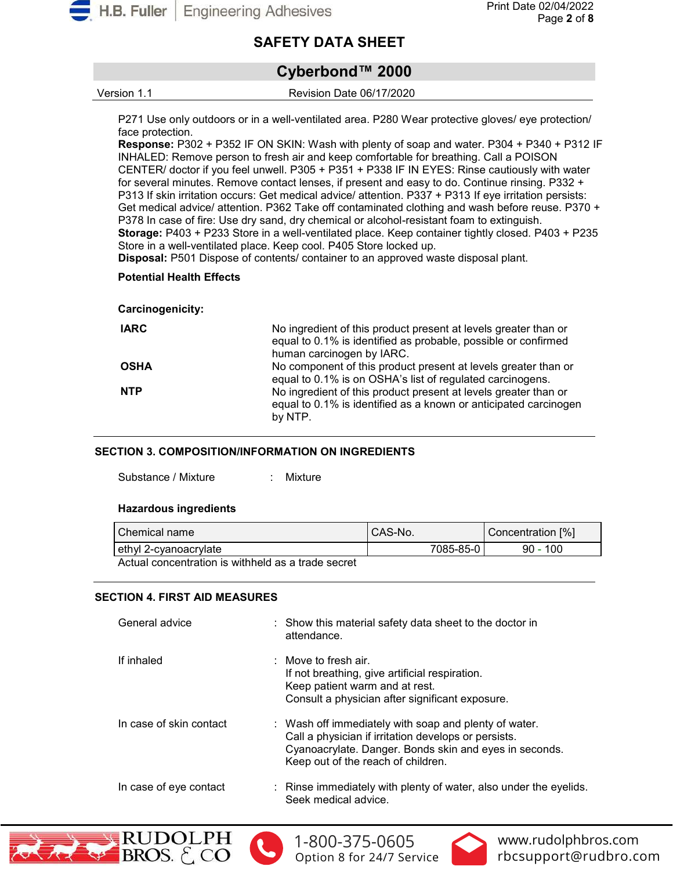

# **Cyberbond™ 2000**

Version 1.1 Revision Date 06/17/2020

P271 Use only outdoors or in a well-ventilated area. P280 Wear protective gloves/ eye protection/ face protection.

**Response:** P302 + P352 IF ON SKIN: Wash with plenty of soap and water. P304 + P340 + P312 IF INHALED: Remove person to fresh air and keep comfortable for breathing. Call a POISON CENTER/ doctor if you feel unwell. P305 + P351 + P338 IF IN EYES: Rinse cautiously with water for several minutes. Remove contact lenses, if present and easy to do. Continue rinsing. P332 + P313 If skin irritation occurs: Get medical advice/ attention. P337 + P313 If eye irritation persists: Get medical advice/ attention. P362 Take off contaminated clothing and wash before reuse. P370 + P378 In case of fire: Use dry sand, dry chemical or alcohol-resistant foam to extinguish. **Storage:** P403 + P233 Store in a well-ventilated place. Keep container tightly closed. P403 + P235 Store in a well-ventilated place. Keep cool. P405 Store locked up.

**Disposal:** P501 Dispose of contents/ container to an approved waste disposal plant.

# **Potential Health Effects**

#### **Carcinogenicity:**

| <b>IARC</b> | No ingredient of this product present at levels greater than or<br>equal to 0.1% is identified as probable, possible or confirmed<br>human carcinogen by IARC. |
|-------------|----------------------------------------------------------------------------------------------------------------------------------------------------------------|
| <b>OSHA</b> | No component of this product present at levels greater than or<br>equal to 0.1% is on OSHA's list of regulated carcinogens.                                    |
| <b>NTP</b>  | No ingredient of this product present at levels greater than or<br>equal to 0.1% is identified as a known or anticipated carcinogen<br>by NTP.                 |

# **SECTION 3. COMPOSITION/INFORMATION ON INGREDIENTS**

Substance / Mixture : Mixture

#### **Hazardous ingredients**

| Chemical name         | CAS-No.   | Concentration [%] |
|-----------------------|-----------|-------------------|
| ethyl 2-cyanoacrylate | 7085-85-0 | $90 - 100$        |

Actual concentration is withheld as a trade secret

# **SECTION 4. FIRST AID MEASURES**

| General advice          | : Show this material safety data sheet to the doctor in<br>attendance.                                                                                                                                        |
|-------------------------|---------------------------------------------------------------------------------------------------------------------------------------------------------------------------------------------------------------|
| If inhaled              | $\therefore$ Move to fresh air.<br>If not breathing, give artificial respiration.<br>Keep patient warm and at rest.<br>Consult a physician after significant exposure.                                        |
| In case of skin contact | : Wash off immediately with soap and plenty of water.<br>Call a physician if irritation develops or persists.<br>Cyanoacrylate. Danger. Bonds skin and eyes in seconds.<br>Keep out of the reach of children. |
| In case of eye contact  | : Rinse immediately with plenty of water, also under the eyelids.<br>Seek medical advice.                                                                                                                     |







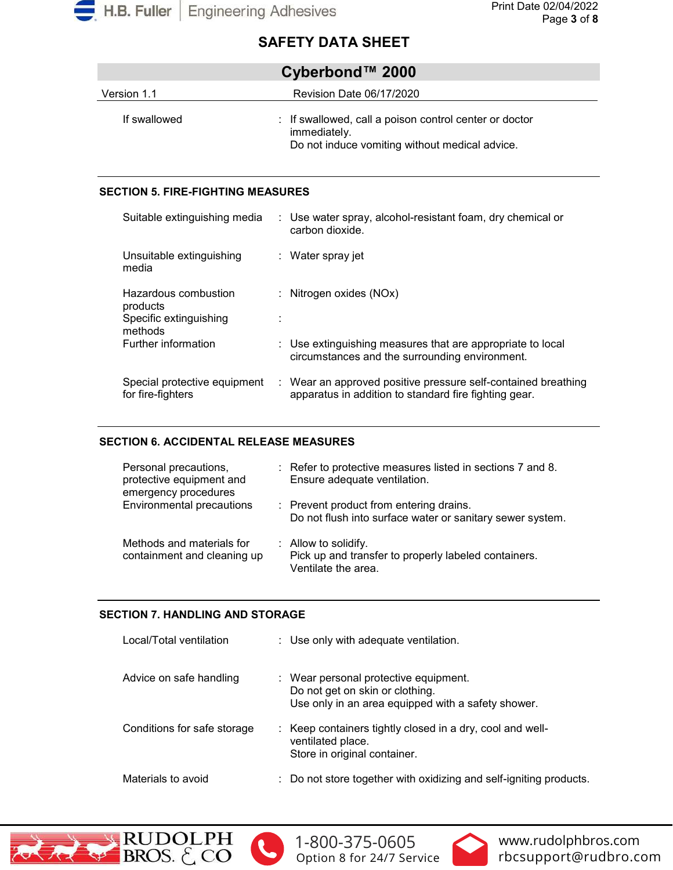

| Cyberbond™ 2000 |                                                                                                                          |  |
|-----------------|--------------------------------------------------------------------------------------------------------------------------|--|
| Version 1.1     | Revision Date 06/17/2020                                                                                                 |  |
| If swallowed    | : If swallowed, call a poison control center or doctor<br>immediately.<br>Do not induce vomiting without medical advice. |  |

## **SECTION 5. FIRE-FIGHTING MEASURES**

| Suitable extinguishing media                                          | : Use water spray, alcohol-resistant foam, dry chemical or<br>carbon dioxide.                                          |
|-----------------------------------------------------------------------|------------------------------------------------------------------------------------------------------------------------|
| Unsuitable extinguishing<br>media                                     | : Water spray jet                                                                                                      |
| Hazardous combustion<br>products<br>Specific extinguishing<br>methods | : Nitrogen oxides $(NOx)$                                                                                              |
| Further information                                                   | : Use extinguishing measures that are appropriate to local<br>circumstances and the surrounding environment.           |
| Special protective equipment<br>for fire-fighters                     | : Wear an approved positive pressure self-contained breathing<br>apparatus in addition to standard fire fighting gear. |

# **SECTION 6. ACCIDENTAL RELEASE MEASURES**

| Personal precautions,<br>protective equipment and<br>emergency procedures | : Refer to protective measures listed in sections 7 and 8.<br>Ensure adequate ventilation.                     |
|---------------------------------------------------------------------------|----------------------------------------------------------------------------------------------------------------|
| Environmental precautions                                                 | : Prevent product from entering drains.<br>Do not flush into surface water or sanitary sewer system.           |
| Methods and materials for<br>containment and cleaning up                  | $\therefore$ Allow to solidify.<br>Pick up and transfer to properly labeled containers.<br>Ventilate the area. |

# **SECTION 7. HANDLING AND STORAGE**

| Local/Total ventilation     | : Use only with adequate ventilation.                                                                                          |
|-----------------------------|--------------------------------------------------------------------------------------------------------------------------------|
| Advice on safe handling     | : Wear personal protective equipment.<br>Do not get on skin or clothing.<br>Use only in an area equipped with a safety shower. |
| Conditions for safe storage | : Keep containers tightly closed in a dry, cool and well-<br>ventilated place.<br>Store in original container.                 |
| Materials to avoid          | : Do not store together with oxidizing and self-igniting products.                                                             |





[1-800-375-0605](tel:+118003750605) Option 8 for 24/7 Service

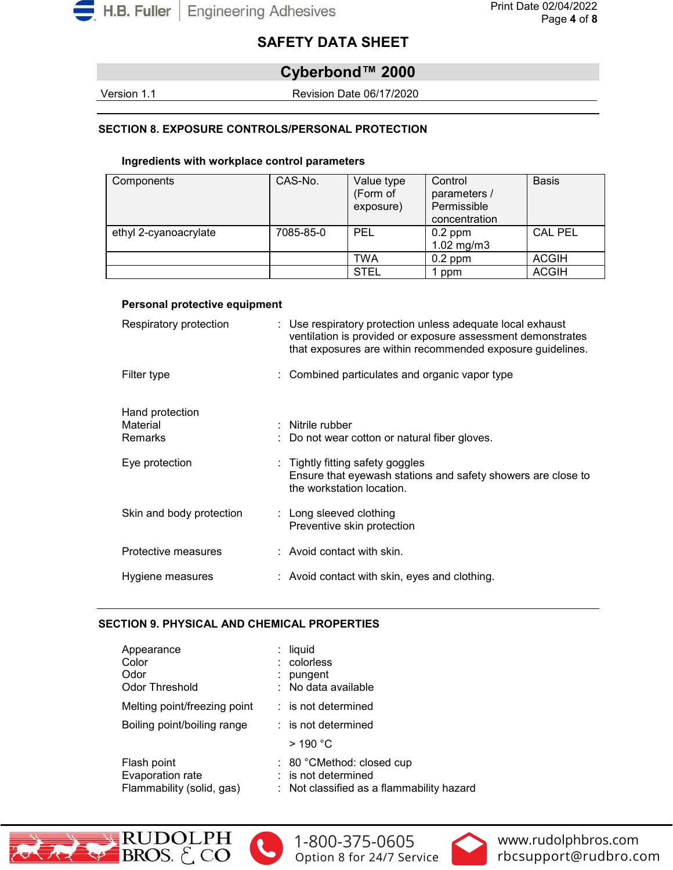

# **Cyberbond™ 2000**

Version 1.1 Revision Date 06/17/2020

# **SECTION 8. EXPOSURE CONTROLS/PERSONAL PROTECTION**

#### **Ingredients with workplace control parameters**

| Components            | CAS-No.   | Value type<br>(Form of<br>exposure) | Control<br>parameters /<br>Permissible<br>concentration | <b>Basis</b>   |
|-----------------------|-----------|-------------------------------------|---------------------------------------------------------|----------------|
| ethyl 2-cyanoacrylate | 7085-85-0 | PEL                                 | $0.2$ ppm<br>$1.02$ mg/m $3$                            | <b>CAL PEL</b> |
|                       |           | TWA                                 | $0.2$ ppm                                               | <b>ACGIH</b>   |
|                       |           | <b>STEL</b>                         | 1 ppm                                                   | <b>ACGIH</b>   |

#### **Personal protective equipment**

| Respiratory protection   | : Use respiratory protection unless adequate local exhaust<br>ventilation is provided or exposure assessment demonstrates<br>that exposures are within recommended exposure guidelines. |
|--------------------------|-----------------------------------------------------------------------------------------------------------------------------------------------------------------------------------------|
| Filter type              | : Combined particulates and organic vapor type                                                                                                                                          |
| Hand protection          |                                                                                                                                                                                         |
| Material                 | $:$ Nitrile rubber                                                                                                                                                                      |
| <b>Remarks</b>           | : Do not wear cotton or natural fiber gloves.                                                                                                                                           |
|                          |                                                                                                                                                                                         |
| Eye protection           | : Tightly fitting safety goggles<br>Ensure that eyewash stations and safety showers are close to<br>the workstation location.                                                           |
| Skin and body protection | $\therefore$ Long sleeved clothing<br>Preventive skin protection                                                                                                                        |
| Protective measures      | $:$ Avoid contact with skin.                                                                                                                                                            |
| Hygiene measures         | : Avoid contact with skin, eyes and clothing.                                                                                                                                           |

## **SECTION 9. PHYSICAL AND CHEMICAL PROPERTIES**

| Appearance<br>Color<br>Odor<br><b>Odor Threshold</b>         | liquid<br>: colorless<br>pungent<br>: No data available                                            |
|--------------------------------------------------------------|----------------------------------------------------------------------------------------------------|
| Melting point/freezing point                                 | $:$ is not determined                                                                              |
| Boiling point/boiling range                                  | : is not determined                                                                                |
|                                                              | $>$ 190 °C                                                                                         |
| Flash point<br>Evaporation rate<br>Flammability (solid, gas) | $: 80 °$ CMethod: closed cup<br>$:$ is not determined<br>: Not classified as a flammability hazard |







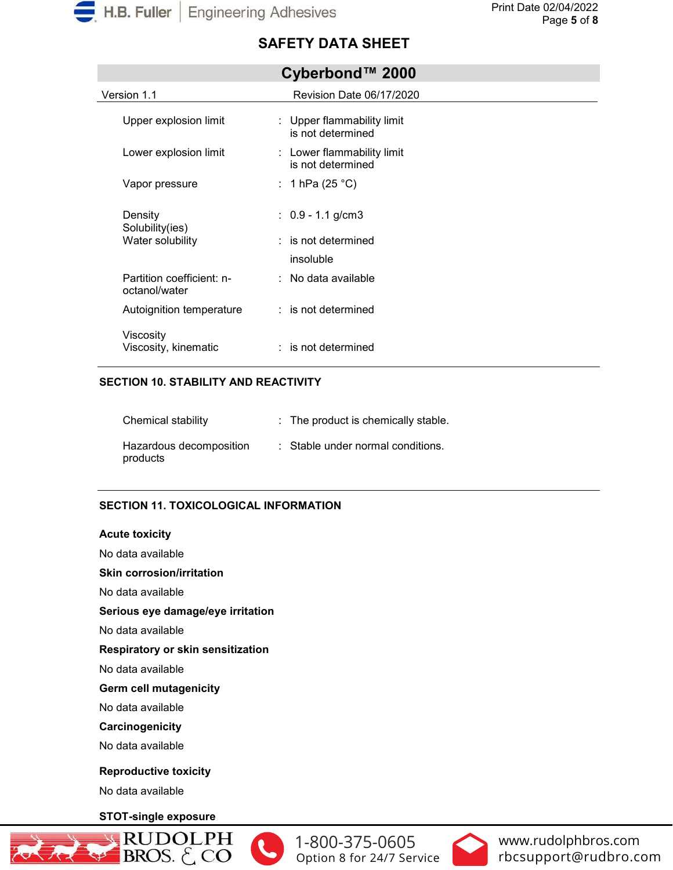

| Version 1.1                                | Revision Date 06/17/2020                        |
|--------------------------------------------|-------------------------------------------------|
| Upper explosion limit                      | : Upper flammability limit<br>is not determined |
| Lower explosion limit                      | : Lower flammability limit<br>is not determined |
| Vapor pressure                             | : 1 hPa (25 °C)                                 |
| Density<br>Solubility(ies)                 | : $0.9 - 1.1$ g/cm3                             |
| Water solubility                           | $:$ is not determined                           |
|                                            | insoluble                                       |
| Partition coefficient: n-<br>octanol/water | $\therefore$ No data available                  |
| Autoignition temperature                   | : is not determined                             |
| Viscosity<br>Viscosity, kinematic          | $:$ is not determined                           |

# **Cyberbond™ 2000**

## **SECTION 10. STABILITY AND REACTIVITY**

| Chemical stability                  | : The product is chemically stable. |
|-------------------------------------|-------------------------------------|
| Hazardous decomposition<br>products | : Stable under normal conditions.   |

# **SECTION 11. TOXICOLOGICAL INFORMATION**

#### **Acute toxicity**

No data available

#### **Skin corrosion/irritation**

No data available

# **Serious eye damage/eye irritation**

No data available

#### **Respiratory or skin sensitization**

No data available

# **Germ cell mutagenicity**

No data available

#### **Carcinogenicity**

No data available

# **Reproductive toxicity**

No data available

# **STOT-single exposure**





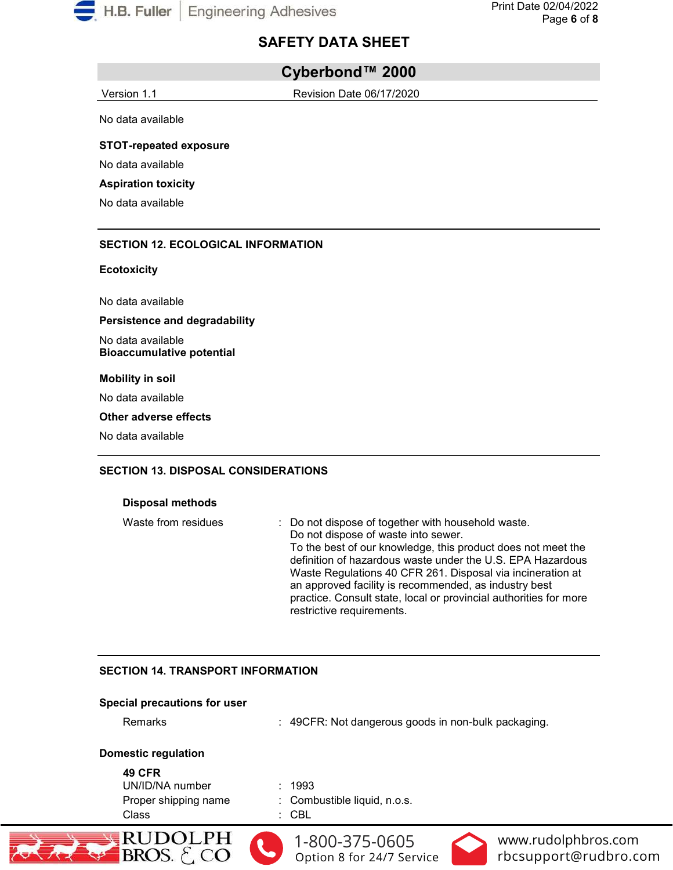

# **Cyberbond™ 2000**

Version 1.1 Revision Date 06/17/2020

No data available

**STOT-repeated exposure**

No data available

#### **Aspiration toxicity**

No data available

#### **SECTION 12. ECOLOGICAL INFORMATION**

#### **Ecotoxicity**

No data available

**Persistence and degradability**

No data available **Bioaccumulative potential**

#### **Mobility in soil**

No data available

#### **Other adverse effects**

No data available

#### **SECTION 13. DISPOSAL CONSIDERATIONS**

#### **Disposal methods**

Waste from residues : Do not dispose of together with household waste. Do not dispose of waste into sewer. To the best of our knowledge, this product does not meet the definition of hazardous waste under the U.S. EPA Hazardous Waste Regulations 40 CFR 261. Disposal via incineration at an approved facility is recommended, as industry best practice. Consult state, local or provincial authorities for more restrictive requirements.

# **SECTION 14. TRANSPORT INFORMATION**

#### **Special precautions for user**

| Opecial precaduotis for user                                      |                                                                  |
|-------------------------------------------------------------------|------------------------------------------------------------------|
| <b>Remarks</b>                                                    | : 49CFR: Not dangerous goods in non-bulk packaging.              |
| <b>Domestic regulation</b>                                        |                                                                  |
| <b>49 CFR</b><br>UN/ID/NA number<br>Proper shipping name<br>Class | : 1993<br>: Combustible liquid, n.o.s.<br>: CBL                  |
| RUDOLPH<br>BROS.                                                  | 1-800-375-0605<br>www.ru<br>Option 8 for 24/7 Service<br>rbcsupp |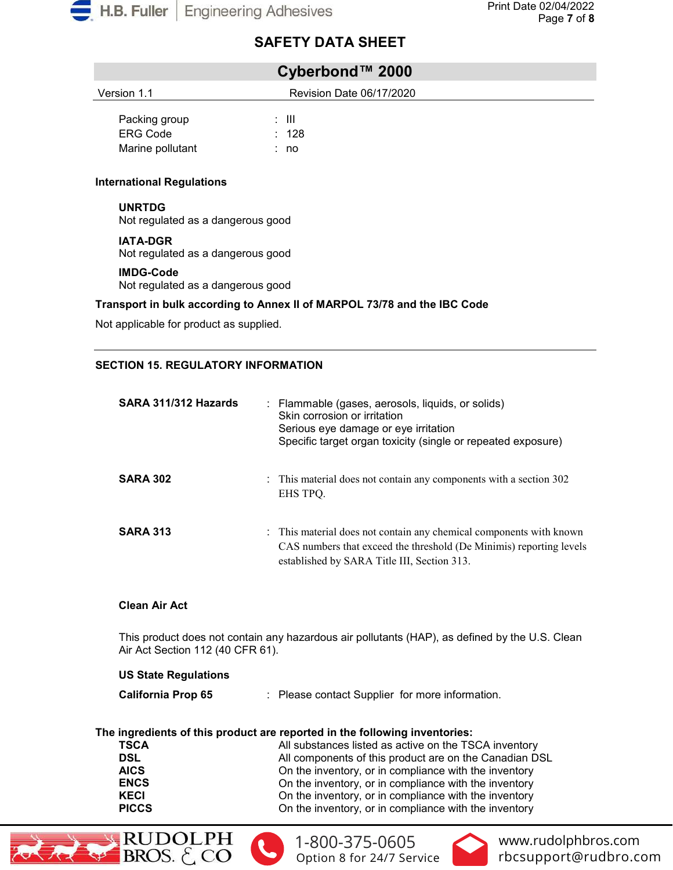

| Cyberbond™ 2000                  |                           |  |
|----------------------------------|---------------------------|--|
| Version 1.1                      | Revision Date 06/17/2020  |  |
| Packing group<br><b>ERG Code</b> | : III<br>$\therefore$ 128 |  |
| Marine pollutant                 | : no                      |  |
|                                  |                           |  |

# **International Regulations**

**UNRTDG** Not regulated as a dangerous good

**IATA-DGR** Not regulated as a dangerous good

#### **IMDG-Code**

Not regulated as a dangerous good

# **Transport in bulk according to Annex II of MARPOL 73/78 and the IBC Code**

Not applicable for product as supplied.

# **SECTION 15. REGULATORY INFORMATION**

| SARA 311/312 Hazards | : Flammable (gases, aerosols, liquids, or solids)<br>Skin corrosion or irritation<br>Serious eye damage or eye irritation<br>Specific target organ toxicity (single or repeated exposure) |
|----------------------|-------------------------------------------------------------------------------------------------------------------------------------------------------------------------------------------|
| <b>SARA 302</b>      | : This material does not contain any components with a section 302<br>EHS TPO.                                                                                                            |
| <b>SARA 313</b>      | : This material does not contain any chemical components with known<br>CAS numbers that exceed the threshold (De Minimis) reporting levels<br>established by SARA Title III, Section 313. |

# **Clean Air Act**

This product does not contain any hazardous air pollutants (HAP), as defined by the U.S. Clean Air Act Section 112 (40 CFR 61).

#### **US State Regulations**

| <b>California Prop 65</b> |  | Please contact Supplier for more information. |  |  |
|---------------------------|--|-----------------------------------------------|--|--|
|---------------------------|--|-----------------------------------------------|--|--|

#### **The ingredients of this product are reported in the following inventories:**

| TSCA         | All substances listed as active on the TSCA inventory  |
|--------------|--------------------------------------------------------|
| DSL          | All components of this product are on the Canadian DSL |
| AICS         | On the inventory, or in compliance with the inventory  |
| <b>ENCS</b>  | On the inventory, or in compliance with the inventory  |
| KECI         | On the inventory, or in compliance with the inventory  |
| <b>PICCS</b> | On the inventory, or in compliance with the inventory  |
|              |                                                        |